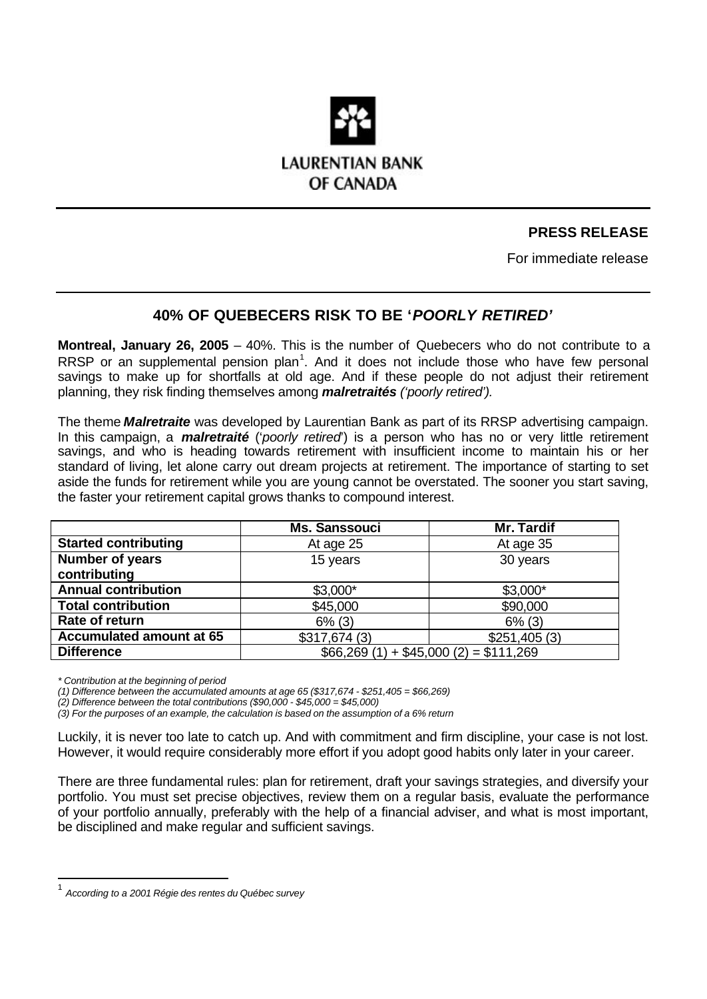

# **PRESS RELEASE**

For immediate release

# **40% OF QUEBECERS RISK TO BE '***POORLY RETIRED'*

**Montreal, January 26, 2005** – 40%. This is the number of Quebecers who do not contribute to a RRSP or an supplemental pension plan<sup>1</sup>. And it does not include those who have few personal savings to make up for shortfalls at old age. And if these people do not adjust their retirement planning, they risk finding themselves among *malretraités ('poorly retired').*

The theme *Malretraite* was developed by Laurentian Bank as part of its RRSP advertising campaign. In this campaign, a *malretraité* ('*poorly retired*') is a person who has no or very little retirement savings, and who is heading towards retirement with insufficient income to maintain his or her standard of living, let alone carry out dream projects at retirement. The importance of starting to set aside the funds for retirement while you are young cannot be overstated. The sooner you start saving, the faster your retirement capital grows thanks to compound interest.

|                                 | <b>Ms. Sanssouci</b>                 | Mr. Tardif   |
|---------------------------------|--------------------------------------|--------------|
| <b>Started contributing</b>     | At age 25                            | At age 35    |
| Number of years                 | 15 years                             | 30 years     |
| contributing                    |                                      |              |
| <b>Annual contribution</b>      | $$3,000*$                            | $$3,000*$    |
| <b>Total contribution</b>       | \$45,000                             | \$90,000     |
| Rate of return                  | $6\%$ (3)                            | $6\%$ (3)    |
| <b>Accumulated amount at 65</b> | \$317,674(3)                         | \$251,405(3) |
| <b>Difference</b>               | $$66,269(1) + $45,000(2) = $111,269$ |              |

*\* Contribution at the beginning of period*

l

*(1) Difference between the accumulated amounts at age 65 (\$317,674 - \$251,405 = \$66,269)*

*(2) Difference between the total contributions (\$90,000 - \$45,000 = \$45,000)*

*(3) For the purposes of an example, the calculation is based on the assumption of a 6% return*

Luckily, it is never too late to catch up. And with commitment and firm discipline, your case is not lost. However, it would require considerably more effort if you adopt good habits only later in your career.

There are three fundamental rules: plan for retirement, draft your savings strategies, and diversify your portfolio. You must set precise objectives, review them on a regular basis, evaluate the performance of your portfolio annually, preferably with the help of a financial adviser, and what is most important, be disciplined and make regular and sufficient savings.

<sup>1</sup> *According to a 2001 Régie des rentes du Québec survey*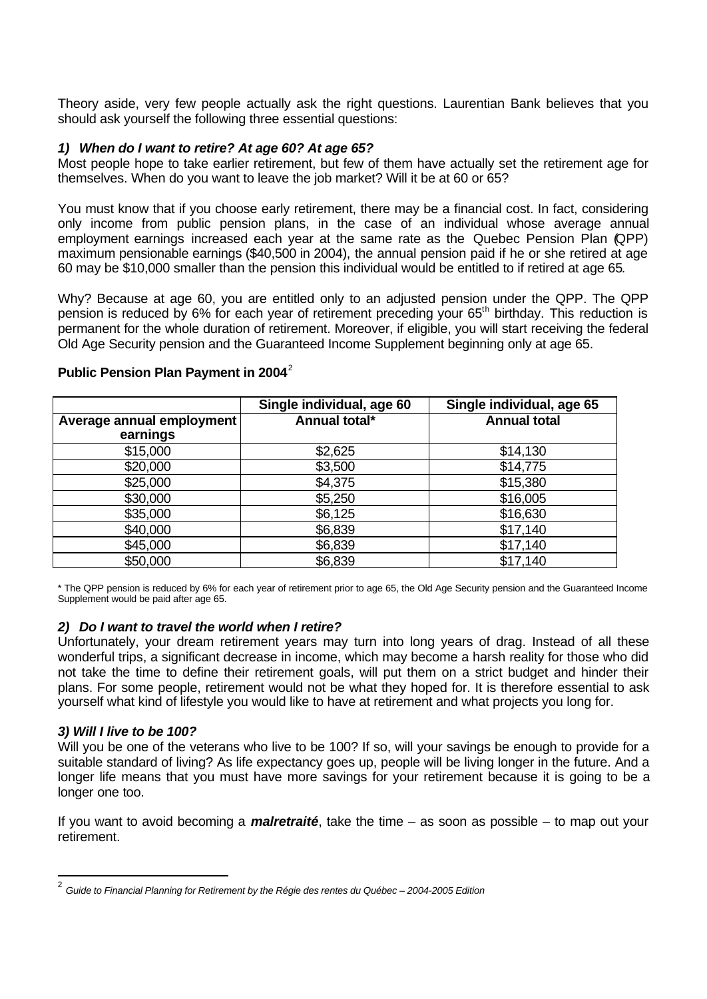Theory aside, very few people actually ask the right questions. Laurentian Bank believes that you should ask yourself the following three essential questions:

### *1) When do I want to retire? At age 60? At age 65?*

Most people hope to take earlier retirement, but few of them have actually set the retirement age for themselves. When do you want to leave the job market? Will it be at 60 or 65?

You must know that if you choose early retirement, there may be a financial cost. In fact, considering only income from public pension plans, in the case of an individual whose average annual employment earnings increased each year at the same rate as the Quebec Pension Plan (QPP) maximum pensionable earnings (\$40,500 in 2004), the annual pension paid if he or she retired at age 60 may be \$10,000 smaller than the pension this individual would be entitled to if retired at age 65.

Why? Because at age 60, you are entitled only to an adjusted pension under the QPP. The QPP pension is reduced by 6% for each year of retirement preceding your 65<sup>th</sup> birthday. This reduction is permanent for the whole duration of retirement. Moreover, if eligible, you will start receiving the federal Old Age Security pension and the Guaranteed Income Supplement beginning only at age 65.

|                                       | Single individual, age 60 | Single individual, age 65 |
|---------------------------------------|---------------------------|---------------------------|
| Average annual employment<br>earnings | Annual total*             | <b>Annual total</b>       |
| \$15,000                              | \$2,625                   | \$14,130                  |
| \$20,000                              | \$3,500                   | \$14,775                  |
| \$25,000                              | \$4,375                   | \$15,380                  |
| \$30,000                              | \$5,250                   | \$16,005                  |
| \$35,000                              | \$6,125                   | \$16,630                  |
| \$40,000                              | \$6,839                   | \$17,140                  |
| \$45,000                              | \$6,839                   | \$17,140                  |
| \$50,000                              | \$6,839                   | \$17,140                  |

### **Public Pension Plan Payment in 2004**<sup>2</sup>

\* The QPP pension is reduced by 6% for each year of retirement prior to age 65, the Old Age Security pension and the Guaranteed Income Supplement would be paid after age 65.

### *2) Do I want to travel the world when I retire?*

Unfortunately, your dream retirement years may turn into long years of drag. Instead of all these wonderful trips, a significant decrease in income, which may become a harsh reality for those who did not take the time to define their retirement goals, will put them on a strict budget and hinder their plans. For some people, retirement would not be what they hoped for. It is therefore essential to ask yourself what kind of lifestyle you would like to have at retirement and what projects you long for.

#### *3) Will I live to be 100?*

l

Will you be one of the veterans who live to be 100? If so, will your savings be enough to provide for a suitable standard of living? As life expectancy goes up, people will be living longer in the future. And a longer life means that you must have more savings for your retirement because it is going to be a longer one too.

If you want to avoid becoming a *malretraité*, take the time – as soon as possible – to map out your retirement.

<sup>2</sup> *Guide to Financial Planning for Retirement by the Régie des rentes du Québec – 2004-2005 Edition*